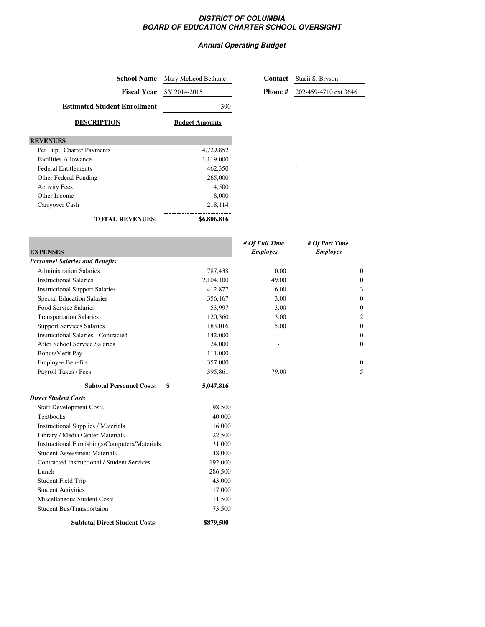## **DISTRICT OF COLUMBIA BOARD OF EDUCATION CHARTER SCHOOL OVERSIGHT**

## **Annual Operating Budget**

**Contact** Stacii S. Bryson

**Phone #** 202-459-4710 ext 3646

| <b>School Name</b>                  | Mary McLeod Bethune   | Contact          |   |
|-------------------------------------|-----------------------|------------------|---|
| <b>Fiscal Year</b>                  | SY 2014-2015          | <b>Phone#</b>    | 2 |
| <b>Estimated Student Enrollment</b> | 390                   |                  |   |
| <b>DESCRIPTION</b>                  | <b>Budget Amounts</b> |                  |   |
| <b>REVENUES</b>                     |                       |                  |   |
| Per Pupil Charter Payments          | 4,729,852             |                  |   |
| <b>Facilities Allowance</b>         | 1,119,000             |                  |   |
| <b>Federal Entitlements</b>         | 462,350               |                  |   |
| Other Federal Funding               | 265,000               |                  |   |
| <b>Activity Fees</b>                | 4,500                 |                  |   |
| Other Income                        | 8,000                 |                  |   |
| Carryover Cash                      | 218,114               |                  |   |
| <b>TOTAL REVENUES:</b>              | \$6,806,816           |                  |   |
|                                     |                       | $#$ Of Eull Time |   |

| <b>EXPENSES</b>                            |               | # Of Full Time<br><b>Employes</b> | # Of Part Time<br><b>Employes</b> |
|--------------------------------------------|---------------|-----------------------------------|-----------------------------------|
| <b>Personnel Salaries and Benefits</b>     |               |                                   |                                   |
| <b>Administration Salaries</b>             | 787,438       | 10.00                             | $\mathbf{0}$                      |
| <b>Instructional Salaries</b>              | 2,104,100     | 49.00                             | $\mathbf{0}$                      |
| <b>Instructional Support Salaries</b>      | 412,877       | 6.00                              | 3                                 |
| <b>Special Education Salaries</b>          | 356,167       | 3.00                              | $\mathbf{0}$                      |
| Food Service Salaries                      | 53,997        | 3.00                              | $\mathbf{0}$                      |
| <b>Transportation Salaries</b>             | 120,360       | 3.00                              | 2                                 |
| <b>Support Services Salaries</b>           | 183,016       | 5.00                              | $\mathbf{0}$                      |
| <b>Instructional Salaries - Contracted</b> | 142,000       |                                   | $\mathbf{0}$                      |
| After School Service Salaries              | 24,000        |                                   | $\mathbf{0}$                      |
| Bonus/Merit Pay                            | 111,000       |                                   |                                   |
| <b>Employee Benefits</b>                   | 357,000       |                                   | $\mathbf{0}$                      |
| Payroll Taxes / Fees                       | 395,861       | 79.00                             | 5                                 |
| <b>Subtotal Personnel Costs:</b><br>\$     | 5,047,816     |                                   |                                   |
| <b>Direct Student Costs</b>                |               |                                   |                                   |
| <b>Staff Development Costs</b>             | 98,500        |                                   |                                   |
| Toythoolee                                 | <b>40.000</b> |                                   |                                   |

| <b>Subtotal Direct Student Costs:</b>         | \$879,500 |
|-----------------------------------------------|-----------|
| Student Bus/Transportaion                     | 73,500    |
| Miscellaneous Student Costs                   | 11,500    |
| <b>Student Activities</b>                     | 17,000    |
| Student Field Trip                            | 43,000    |
| Lunch                                         | 286,500   |
| Contracted Instructional / Student Services   | 192,000   |
| <b>Student Assessment Materials</b>           | 48,000    |
| Instructional Furnishings/Computers/Materials | 31,000    |
| Library / Media Center Materials              | 22,500    |
| <b>Instructional Supplies / Materials</b>     | 16,000    |
| <b>Textbooks</b>                              | 40,000    |
|                                               |           |